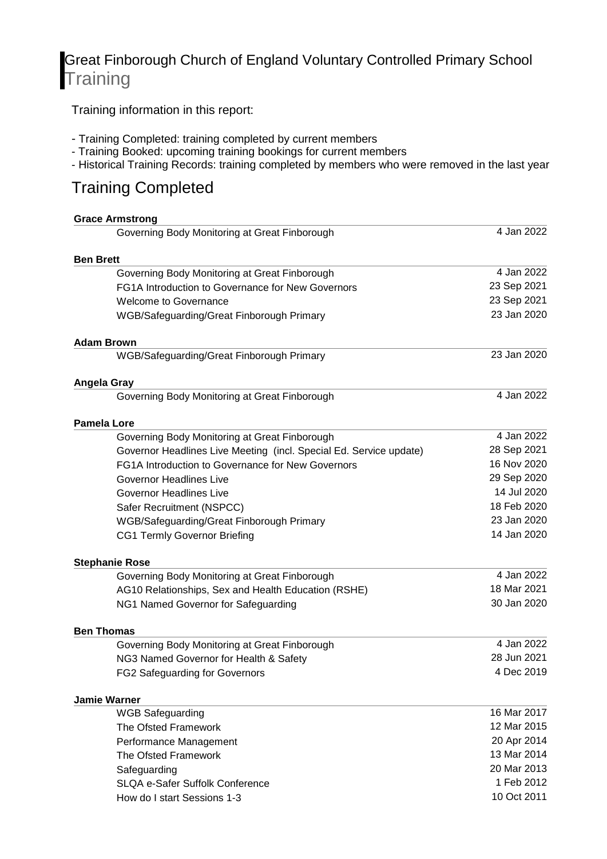## Great Finborough Church of England Voluntary Controlled Primary School **Training**

Training information in this report:

- Training Completed: training completed by current members
- Training Booked: upcoming training bookings for current members
- Historical Training Records: training completed by members who were removed in the last year

### Training Completed

|                  | <b>Grace Armstrong</b>                                             |             |
|------------------|--------------------------------------------------------------------|-------------|
|                  | Governing Body Monitoring at Great Finborough                      | 4 Jan 2022  |
| <b>Ben Brett</b> |                                                                    |             |
|                  | Governing Body Monitoring at Great Finborough                      | 4 Jan 2022  |
|                  | FG1A Introduction to Governance for New Governors                  | 23 Sep 2021 |
|                  | <b>Welcome to Governance</b>                                       | 23 Sep 2021 |
|                  | WGB/Safeguarding/Great Finborough Primary                          | 23 Jan 2020 |
|                  | <b>Adam Brown</b>                                                  |             |
|                  | WGB/Safeguarding/Great Finborough Primary                          | 23 Jan 2020 |
|                  | Angela Gray                                                        |             |
|                  | Governing Body Monitoring at Great Finborough                      | 4 Jan 2022  |
|                  | <b>Pamela Lore</b>                                                 |             |
|                  | Governing Body Monitoring at Great Finborough                      | 4 Jan 2022  |
|                  | Governor Headlines Live Meeting (incl. Special Ed. Service update) | 28 Sep 2021 |
|                  | FG1A Introduction to Governance for New Governors                  | 16 Nov 2020 |
|                  | <b>Governor Headlines Live</b>                                     | 29 Sep 2020 |
|                  | <b>Governor Headlines Live</b>                                     | 14 Jul 2020 |
|                  | Safer Recruitment (NSPCC)                                          | 18 Feb 2020 |
|                  | WGB/Safeguarding/Great Finborough Primary                          | 23 Jan 2020 |
|                  | <b>CG1 Termly Governor Briefing</b>                                | 14 Jan 2020 |
|                  | <b>Stephanie Rose</b>                                              |             |
|                  | Governing Body Monitoring at Great Finborough                      | 4 Jan 2022  |
|                  | AG10 Relationships, Sex and Health Education (RSHE)                | 18 Mar 2021 |
|                  | NG1 Named Governor for Safeguarding                                | 30 Jan 2020 |
|                  | <b>Ben Thomas</b>                                                  |             |
|                  | Governing Body Monitoring at Great Finborough                      | 4 Jan 2022  |
|                  | NG3 Named Governor for Health & Safety                             | 28 Jun 2021 |
|                  | FG2 Safeguarding for Governors                                     | 4 Dec 2019  |
|                  | <b>Jamie Warner</b>                                                |             |
|                  | <b>WGB Safeguarding</b>                                            | 16 Mar 2017 |
|                  | The Ofsted Framework                                               | 12 Mar 2015 |
|                  | Performance Management                                             | 20 Apr 2014 |
|                  | The Ofsted Framework                                               | 13 Mar 2014 |
|                  | Safeguarding                                                       | 20 Mar 2013 |
|                  | <b>SLQA e-Safer Suffolk Conference</b>                             | 1 Feb 2012  |
|                  | How do I start Sessions 1-3                                        | 10 Oct 2011 |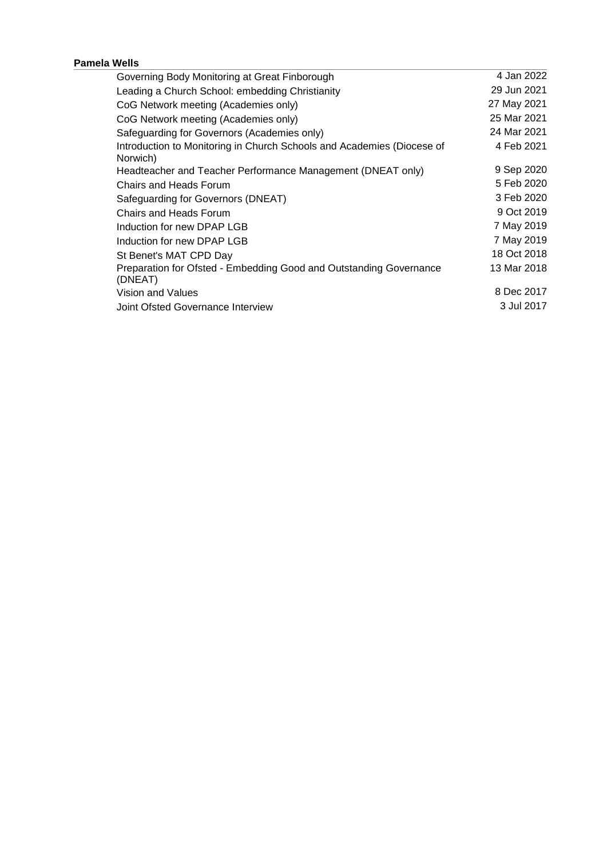#### **Pamela Wells**

| Governing Body Monitoring at Great Finborough                                      | 4 Jan 2022  |
|------------------------------------------------------------------------------------|-------------|
| Leading a Church School: embedding Christianity                                    | 29 Jun 2021 |
| CoG Network meeting (Academies only)                                               | 27 May 2021 |
| CoG Network meeting (Academies only)                                               | 25 Mar 2021 |
| Safeguarding for Governors (Academies only)                                        | 24 Mar 2021 |
| Introduction to Monitoring in Church Schools and Academies (Diocese of<br>Norwich) | 4 Feb 2021  |
| Headteacher and Teacher Performance Management (DNEAT only)                        | 9 Sep 2020  |
| Chairs and Heads Forum                                                             | 5 Feb 2020  |
| Safeguarding for Governors (DNEAT)                                                 | 3 Feb 2020  |
| Chairs and Heads Forum                                                             | 9 Oct 2019  |
| Induction for new DPAP LGB                                                         | 7 May 2019  |
| Induction for new DPAP LGB                                                         | 7 May 2019  |
| St Benet's MAT CPD Day                                                             | 18 Oct 2018 |
| Preparation for Ofsted - Embedding Good and Outstanding Governance<br>(DNEAT)      | 13 Mar 2018 |
| Vision and Values                                                                  | 8 Dec 2017  |
| Joint Ofsted Governance Interview                                                  | 3 Jul 2017  |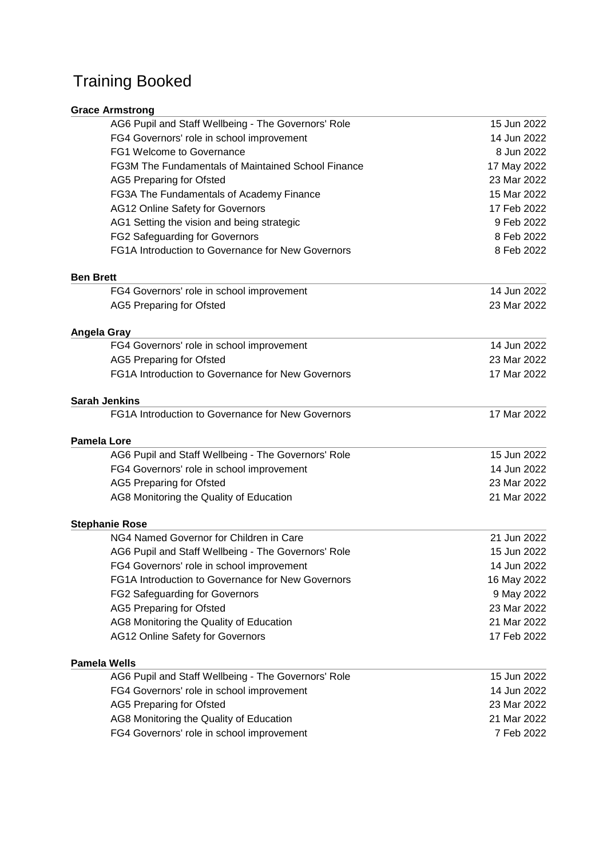## Training Booked

| <b>Grace Armstrong</b>                              |             |
|-----------------------------------------------------|-------------|
| AG6 Pupil and Staff Wellbeing - The Governors' Role | 15 Jun 2022 |
| FG4 Governors' role in school improvement           | 14 Jun 2022 |
| <b>FG1 Welcome to Governance</b>                    | 8 Jun 2022  |
| FG3M The Fundamentals of Maintained School Finance  | 17 May 2022 |
| <b>AG5 Preparing for Ofsted</b>                     | 23 Mar 2022 |
| FG3A The Fundamentals of Academy Finance            | 15 Mar 2022 |
| <b>AG12 Online Safety for Governors</b>             | 17 Feb 2022 |
| AG1 Setting the vision and being strategic          | 9 Feb 2022  |
| <b>FG2 Safeguarding for Governors</b>               | 8 Feb 2022  |
| FG1A Introduction to Governance for New Governors   | 8 Feb 2022  |
| <b>Ben Brett</b>                                    |             |
| FG4 Governors' role in school improvement           | 14 Jun 2022 |
| <b>AG5 Preparing for Ofsted</b>                     | 23 Mar 2022 |
| Angela Gray                                         |             |
| FG4 Governors' role in school improvement           | 14 Jun 2022 |
| <b>AG5 Preparing for Ofsted</b>                     | 23 Mar 2022 |
| FG1A Introduction to Governance for New Governors   | 17 Mar 2022 |
| <b>Sarah Jenkins</b>                                |             |
| FG1A Introduction to Governance for New Governors   | 17 Mar 2022 |
| <b>Pamela Lore</b>                                  |             |
| AG6 Pupil and Staff Wellbeing - The Governors' Role | 15 Jun 2022 |
| FG4 Governors' role in school improvement           | 14 Jun 2022 |
| <b>AG5 Preparing for Ofsted</b>                     | 23 Mar 2022 |
| AG8 Monitoring the Quality of Education             | 21 Mar 2022 |
| <b>Stephanie Rose</b>                               |             |
| NG4 Named Governor for Children in Care             | 21 Jun 2022 |
| AG6 Pupil and Staff Wellbeing - The Governors' Role | 15 Jun 2022 |
| FG4 Governors' role in school improvement           | 14 Jun 2022 |
| FG1A Introduction to Governance for New Governors   | 16 May 2022 |
| FG2 Safeguarding for Governors                      | 9 May 2022  |
| <b>AG5 Preparing for Ofsted</b>                     | 23 Mar 2022 |
| AG8 Monitoring the Quality of Education             | 21 Mar 2022 |
| <b>AG12 Online Safety for Governors</b>             | 17 Feb 2022 |
| <b>Pamela Wells</b>                                 |             |
| AG6 Pupil and Staff Wellbeing - The Governors' Role | 15 Jun 2022 |
| FG4 Governors' role in school improvement           | 14 Jun 2022 |
| <b>AG5 Preparing for Ofsted</b>                     | 23 Mar 2022 |
| AG8 Monitoring the Quality of Education             | 21 Mar 2022 |
| FG4 Governors' role in school improvement           | 7 Feb 2022  |